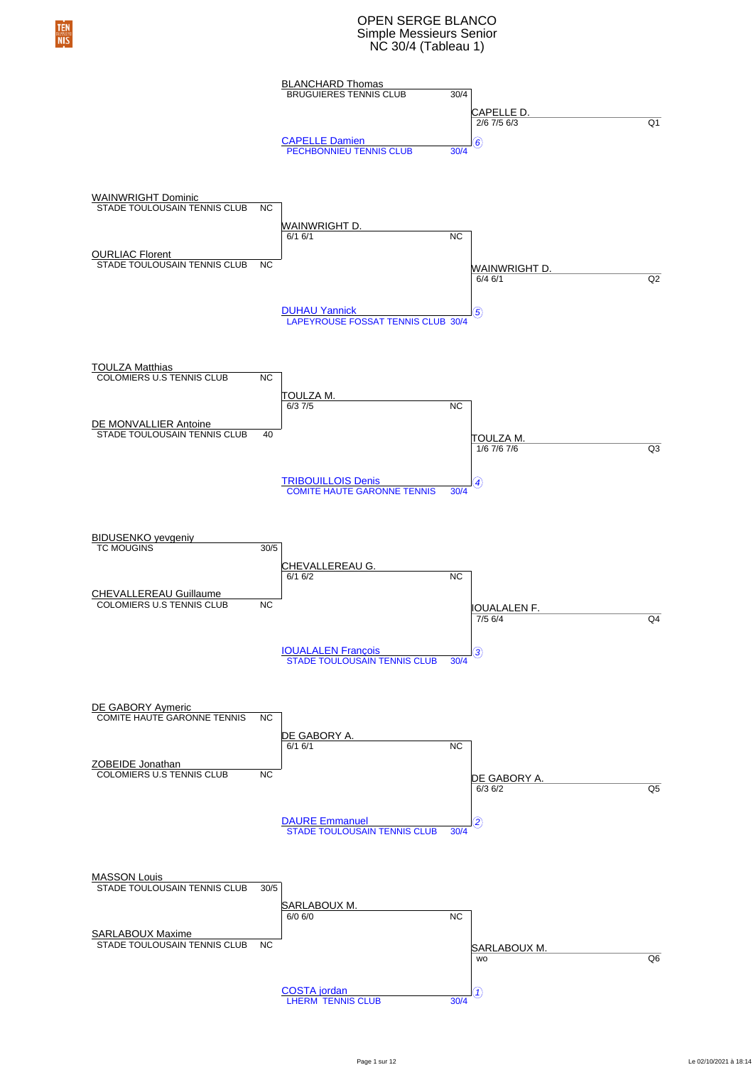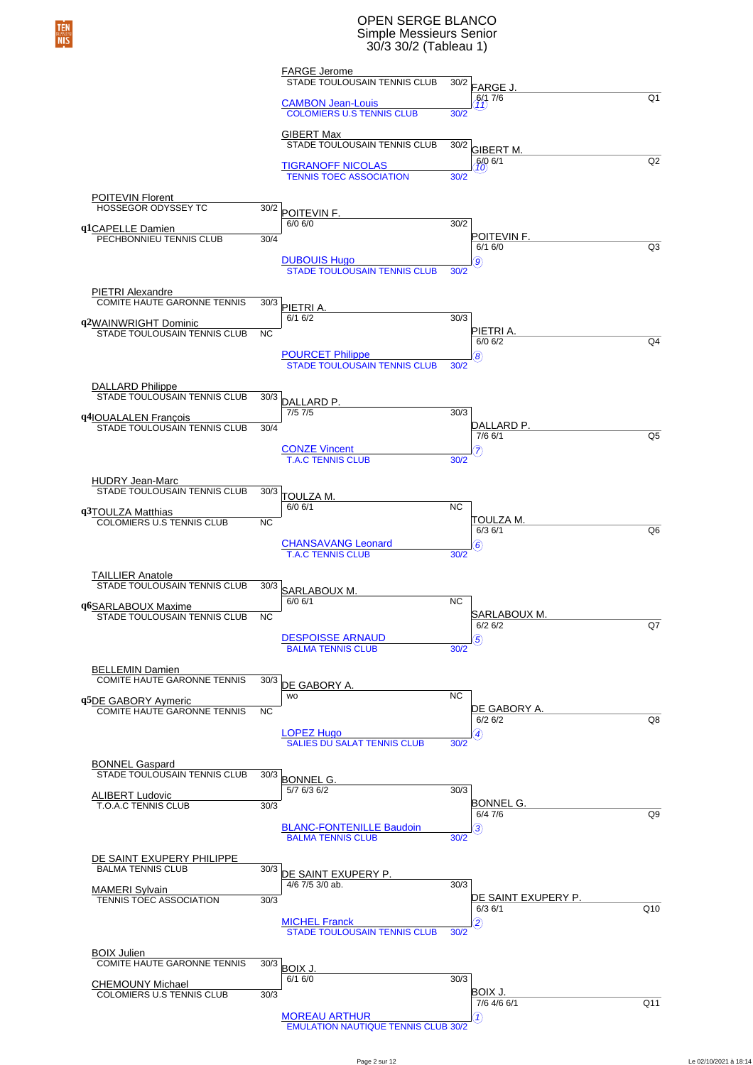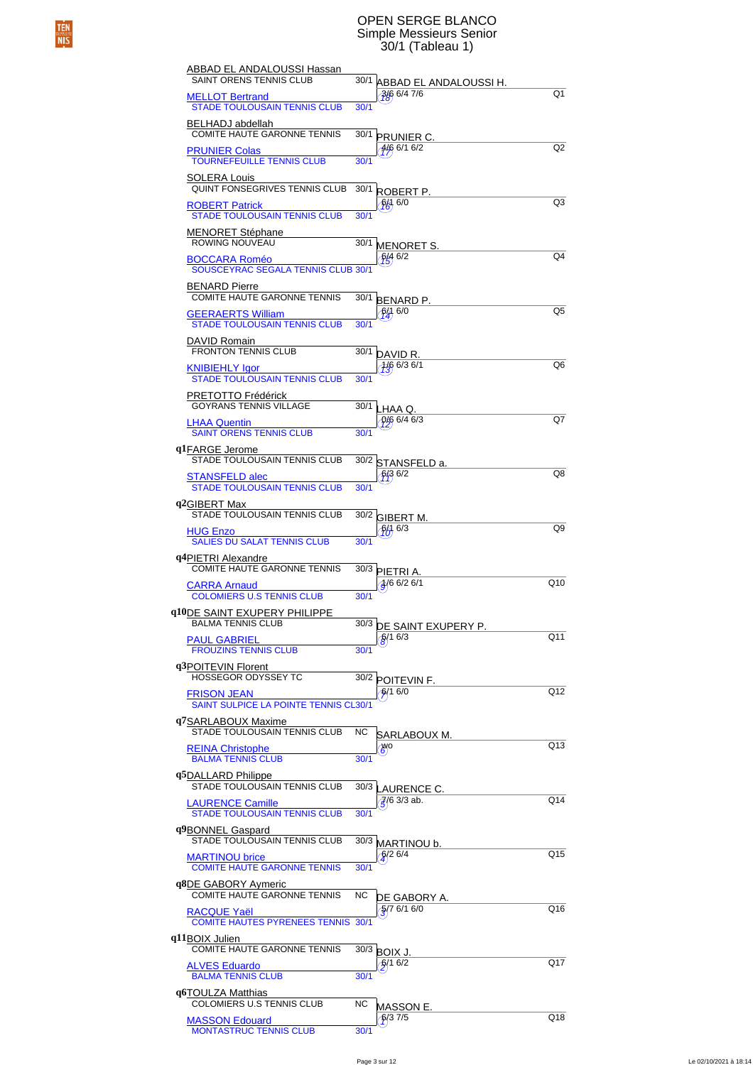### OPEN SERGE BLANCO Simple Messieurs Senior 30/1 (Tableau 1)

| ABBAD EL ANDALOUSSI Hassan<br><b>SAINT ORENS TENNIS CLUB</b>           |           |                                              |                |
|------------------------------------------------------------------------|-----------|----------------------------------------------|----------------|
| <b>MELLOT Bertrand</b>                                                 |           | 30/1 ABBAD EL ANDALOUSSI H.<br>$3/6$ 6/4 7/6 | Q1             |
| <b>STADE TOULOUSAIN TENNIS CLUB</b><br>BELHADJ abdellah                | 30/1      |                                              |                |
| <b>COMITE HAUTE GARONNE TENNIS</b>                                     | 30/1      | <b>PRUNIER C.</b>                            |                |
| <b>PRUNIER Colas</b><br><b>TOURNEFEUILLE TENNIS CLUB</b>               | 30/1      | $4/6$ 6/1 6/2                                | Q <sub>2</sub> |
| SOLERA Louis<br>QUINT FONSEGRIVES TENNIS CLUB                          | 30/1      | ROBERT P.                                    |                |
| <b>ROBERT Patrick</b><br><b>STADE TOULOUSAIN TENNIS CLUB</b>           | 30/1      | 畅 6/0                                        | Q3             |
| MENORET Stéphane                                                       |           |                                              |                |
| ROWING NOUVEAU<br><b>BOCCARA Roméo</b>                                 | 30/1      | <b>MENORET S.</b><br>646/2                   | Q4             |
| SOUSCEYRAC SEGALA TENNIS CLUB 30/1                                     |           |                                              |                |
| <b>BENARD Pierre</b><br>COMITE HAUTE GARONNE TENNIS                    | 30/1      | <b>BENARD P.</b>                             |                |
| <b>GEERAERTS William</b><br><b>STADE TOULOUSAIN TENNIS CLUB</b>        | 30/1      | 6/1 6/0                                      | Q5             |
| DAVID Romain<br><b>FRONTON TENNIS CLUB</b>                             | 30/1      |                                              |                |
| KNIBIEHLY Igor                                                         |           | DAVID R.<br>$1/6$ 6/3 6/1                    | Q6             |
| <b>STADE TOULOUSAIN TENNIS CLUB</b><br>PRETOTTO Frédérick              | 30/1      |                                              |                |
| <b>GOYRANS TENNIS VILLAGE</b><br><b>LHAA Quentin</b>                   | 30/1      | LHAA Q.<br>$9/6$ 6/4 6/3                     | Q7             |
| <b>SAINT ORENS TENNIS CLUB</b>                                         | 30/1      |                                              |                |
| q1FARGE Jerome<br>STADE TOULOUSAIN TENNIS CLUB                         | 30/2      | STANSFELD a.                                 |                |
| <b>STANSFELD alec</b><br><b>STADE TOULOUSAIN TENNIS CLUB</b>           | 30/1      | 6/36/2                                       | Q8             |
| q2GIBERT Max<br>STADE TOULOUSAIN TENNIS CLUB                           |           |                                              |                |
| <b>HUG Enzo</b>                                                        | 30/2      | <b>GIBERT M.</b><br>$\frac{6}{3}$ 6/3        | Q9             |
| <b>SALIES DU SALAT TENNIS CLUB</b><br>q4PIETRI Alexandre               | 30/1      |                                              |                |
| <b>COMITE HAUTE GARONNE TENNIS</b>                                     |           | 30/3 PIETRI A.<br>$\frac{1}{9}$ 6/2 6/1      | Q10            |
| <b>CARRA Arnaud</b><br><b>COLOMIERS U.S TENNIS CLUB</b>                | 30/1      |                                              |                |
| q10DE SAINT EXUPERY PHILIPPE<br><b>BALMA TENNIS CLUB</b>               |           | 30/3 DE SAINT EXUPERY P.                     |                |
| <b>PAUL GABRIEL</b><br><b>FROUZINS TENNIS CLUB</b>                     | 30/1      | $6/1$ 6/3                                    | Q11            |
| q3POITEVIN Florent<br>HOSSEGOR ODYSSEY TC                              |           |                                              |                |
| <b>FRISON JEAN</b>                                                     |           | 30/2 POITEVIN F.<br>6/16/0                   | Q12            |
| <b>SAINT SULPICE LA POINTE TENNIS CL30/1</b><br>q7SARLABOUX Maxime     |           |                                              |                |
| STADE TOULOUSAIN TENNIS CLUB                                           | <b>NC</b> | SARLABOUX M.                                 | Q13            |
| <b>REINA Christophe</b><br><b>BALMA TENNIS CLUB</b>                    | 30/1      | <b>B</b> O                                   |                |
| q5DALLARD Philippe<br>STADE TOULOUSAIN TENNIS CLUB                     |           | 30/3 LAURENCE C.                             |                |
| <b>LAURENCE Camille</b><br><b>STADE TOULOUSAIN TENNIS CLUB</b>         | 30/1      | $\frac{7}{5}$ (6 3/3 ab.                     | Q14            |
| q9BONNEL Gaspard                                                       |           |                                              |                |
| STADE TOULOUSAIN TENNIS CLUB<br><b>MARTINOU brice</b>                  |           | 30/3 MARTINOU b.<br>$\frac{6}{2}$ 6/4        | Q15            |
| <b>COMITE HAUTE GARONNE TENNIS</b><br>q <sup>8</sup> DE GABORY Aymeric | 30/1      |                                              |                |
| COMITE HAUTE GARONNE TENNIS                                            | NC        | DE GABORY A.<br>$\frac{1}{2}$ /7 6/1 6/0     | Q16            |
| RACQUE Yaël<br><b>COMITE HAUTES PYRENEES TENNIS 30/1</b>               |           |                                              |                |
| q11BOIX Julien<br>COMITE HAUTE GARONNE TENNIS                          |           | $30/3$ BOIX J.                               |                |
| ALVES Eduardo<br><b>BALMA TENNIS CLUB</b>                              | 30/1      | 6/16/2                                       | Q17            |
| q6TOULZA Matthias                                                      |           |                                              |                |
| COLOMIERS U.S TENNIS CLUB<br><b>MASSON Edouard</b>                     | <b>NC</b> | MASSON E.<br>6/37/5                          | Q18            |
| <b>MONTASTRUC TENNIS CLUB</b>                                          | 30/1      |                                              |                |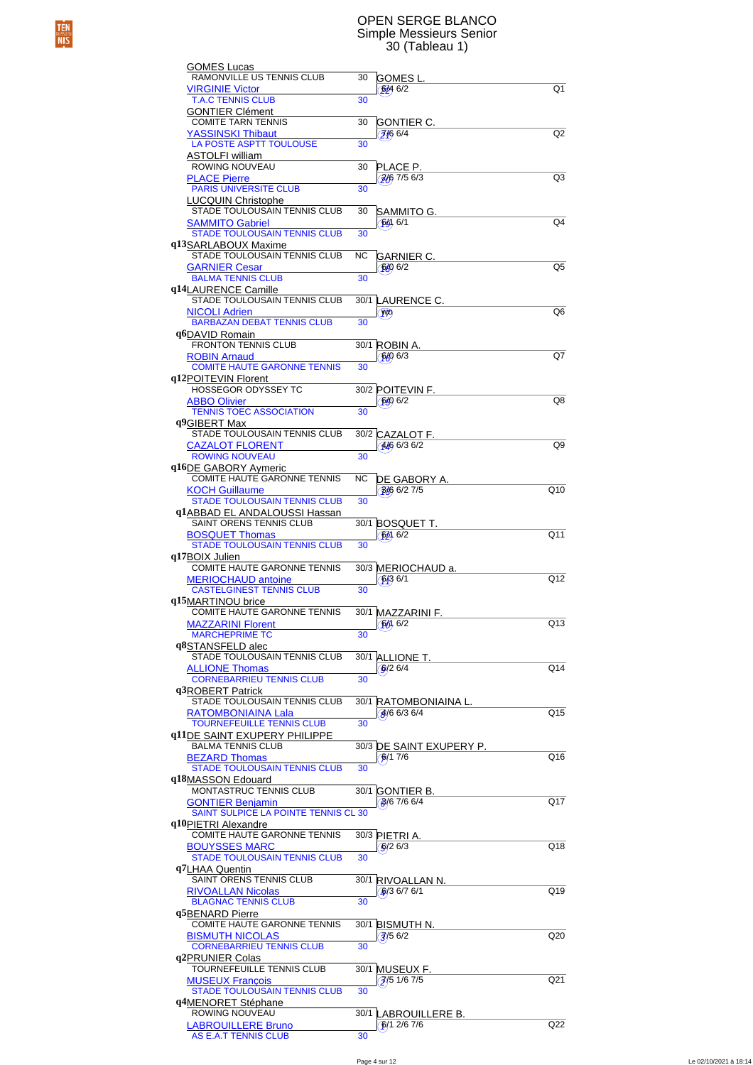### OPEN SERGE BLANCO Simple Messieurs Senior 30 (Tableau 1)

| GOMES Lucas                                                             |           |                                                        |                |
|-------------------------------------------------------------------------|-----------|--------------------------------------------------------|----------------|
| RAMONVILLE US TENNIS CLUB<br><b>VIRGINIE Victor</b>                     | 30        | GOMES L.<br>6/46/2                                     | Q <sub>1</sub> |
| <b>T.A.C TENNIS CLUB</b>                                                | 30        |                                                        |                |
| <b>GONTIER Clément</b><br><b>COMITE TARN TENNIS</b>                     | 30        | GONTIER C.                                             |                |
| <b>YASSINSKI Thibaut</b>                                                |           | 7/66/4                                                 | Q2             |
| <b>LA POSTE ASPTT TOULOUSE</b><br>ASTOLFI william                       | 30        |                                                        |                |
| ROWING NOUVEAU                                                          | 30        | PLACE P.                                               |                |
| <b>PLACE Pierre</b><br><b>PARIS UNIVERSITE CLUB</b>                     | 30        | $\frac{2}{6}$ 7/5 6/3                                  | Q3             |
| <b>LUCQUIN Christophe</b>                                               |           |                                                        |                |
| STADE TOULOUSAIN TENNIS CLUB<br><b>SAMMITO Gabriel</b>                  | 30        | SAMMITO G.<br>6016/1                                   | Q4             |
| <b>STADE TOULOUSAIN TENNIS CLUB</b>                                     | 30        |                                                        |                |
| q13SARLABOUX Maxime<br>STADE TOULOUSAIN TENNIS CLUB                     | <b>NC</b> | GARNIER C.                                             |                |
| <b>GARNIER Cesar</b>                                                    |           | 6406/2                                                 | Q5             |
| <b>BALMA TENNIS CLUB</b><br>q14LAURENCE Camille                         | 30        |                                                        |                |
| STADE TOULOUSAIN TENNIS CLUB                                            | 30/1      | LAURENCE C.                                            |                |
| <b>NICOLI Adrien</b><br><b>BARBAZAN DEBAT TENNIS CLUB</b>               | 30        | WO <sub>)</sub>                                        | Q6             |
| q6DAVID Romain                                                          |           |                                                        |                |
| <b>FRONTON TENNIS CLUB</b><br><b>ROBIN Arnaud</b>                       | 30/1      | ROBIN A.<br>6006/3                                     | Q7             |
| <b>COMITE HAUTE GARONNE TENNIS</b>                                      | 30        |                                                        |                |
| q12POITEVIN Florent<br><b>HOSSEGOR ODYSSEY TC</b>                       |           | 30/2 POITEVIN F.                                       |                |
| <b>ABBO Olivier</b>                                                     |           | 6/06/2                                                 | Q8             |
| <b>TENNIS TOEC ASSOCIATION</b><br>q <sup>9</sup> GIBERT Max             | 30        |                                                        |                |
| STADE TOULOUSAIN TENNIS CLUB                                            |           | 30/2 CAZALOT F.                                        |                |
| <b>CAZALOT FLORENT</b><br><b>ROWING NOUVEAU</b>                         | 30        | $446$ 6/3 6/2                                          | Q9             |
| q16DE GABORY Aymeric                                                    |           |                                                        |                |
| COMITE HAUTE GARONNE TENNIS                                             | <b>NC</b> | DE GABORY A.                                           |                |
| <b>KOCH Guillaume</b><br><b>STADE TOULOUSAIN TENNIS CLUB</b>            | 30        | 3/6 6/2 7/5                                            | Q10            |
| q1ABBAD EL ANDALOUSSI Hassan                                            |           |                                                        |                |
| SAINT ORENS TENNIS CLUB<br><b>BOSQUET Thomas</b>                        | 30/1      | <b>BOSQUET T.</b><br>$\binom{6}{2}$                    | Q11            |
| <b>STADE TOULOUSAIN TENNIS CLUB</b>                                     | 30        |                                                        |                |
| q17BOIX Julien<br>COMITE HAUTE GARONNE TENNIS                           |           | 30/3 MERIOCHAUD a.                                     |                |
| <b>MERIOCHAUD antoine</b>                                               |           | 6/36/1                                                 | Q12            |
| <b>CASTELGINEST TENNIS CLUB</b><br>q15MARTINOU brice                    | 30        |                                                        |                |
| <b>COMITE HAUTE GARONNE TENNIS</b>                                      | 30/1      | MAZZARINI F.                                           |                |
| <b>MAZZARINI Florent</b><br><b>MARCHEPRIME TC</b>                       | 30        | %6/2                                                   | Q13            |
| q8STANSFELD alec                                                        |           |                                                        |                |
| <b>STADE TOULOUSAIN TENNIS CLUB</b><br><b>ALLIONE Thomas</b>            |           | 30/1 ALLIONE T.<br>6/26/4                              | Q14            |
| <b>CORNEBARRIEU TENNIS CLUB</b>                                         | 30        |                                                        |                |
| q3ROBERT Patrick<br>STADE TOULOUSAIN TENNIS CLUB                        |           | 30/1 RATOMBONIAINA L.                                  |                |
| <b>RATOMBONIAINA Lala</b>                                               |           | $\left( \frac{3}{6} \right) 6 \frac{6}{3} \frac{6}{4}$ | Q15            |
| <b>TOURNEFEUILLE TENNIS CLUB</b><br><b>q11DE SAINT EXUPERY PHILIPPE</b> | 30        |                                                        |                |
|                                                                         |           |                                                        |                |
| <b>BALMA TENNIS CLUB</b>                                                |           | 30/3 DE SAINT EXUPERY P.                               |                |
| <b>BEZARD Thomas</b>                                                    |           | 6/17/6                                                 | Q16            |
| <b>STADE TOULOUSAIN TENNIS CLUB</b><br>q18MASSON Edouard                | 30        |                                                        |                |
| MONTASTRUC TENNIS CLUB                                                  | 30/1      | GONTIER B.                                             |                |
| <b>GONTIER Benjamin</b><br>SAINT SULPICE LA POINTE TENNIS CL 30         |           | 8/6 7/6 6/4                                            | Q17            |
| q10PIETRI Alexandre                                                     |           |                                                        |                |
| COMITE HAUTE GARONNE TENNIS<br><b>BOUYSSES MARC</b>                     |           | 30/3 PIETRI A.<br>6/26/3                               | Q18            |
| <b>STADE TOULOUSAIN TENNIS CLUB</b>                                     | 30        |                                                        |                |
| q7LHAA Quentin<br>SAINT ORENS TENNIS CLUB                               | 30/1      | RIVOALLAN N.                                           |                |
| <b>RIVOALLAN Nicolas</b>                                                |           | $6/3$ 6/7 6/1                                          | Q19            |
| <b>BLAGNAC TENNIS CLUB</b><br>q <sup>5</sup> BENARD Pierre              | 30        |                                                        |                |
| COMITE HAUTE GARONNE TENNIS                                             | 30/1      | <b>BISMUTH N.</b>                                      |                |
| <b>BISMUTH NICOLAS</b><br><b>CORNEBARRIEU TENNIS CLUB</b>               | 30        | $\sqrt{3}/5$ 6/2                                       | Q20            |
| q2PRUNIER Colas                                                         |           |                                                        |                |
| TOURNEFEUILLE TENNIS CLUB                                               |           | 30/1 MUSEUX F.<br>$\sqrt{2}$ /5 1/6 7/5                | Q21            |
| <b>MUSEUX François</b><br><b>STADE TOULOUSAIN TENNIS CLUB</b>           | 30        |                                                        |                |
| q4MENORET Stéphane<br>ROWING NOUVEAU                                    |           | 30/1 LABROUILLERE B.                                   |                |
| <b>LABROUILLERE Bruno</b><br><b>AS E.A.T TENNIS CLUB</b>                | 30        | <b>6/1 2/6 7/6</b>                                     | Q22            |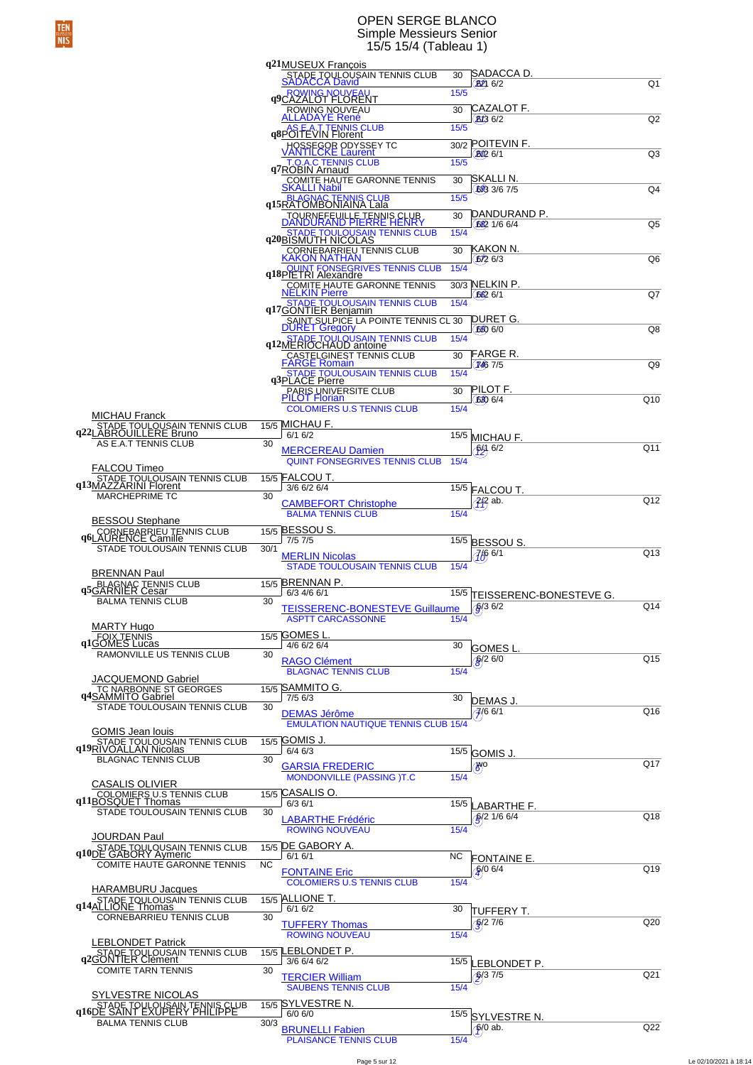### OPEN SERGE BLANCO Simple Messieurs Senior 15/5 15/4 (Tableau 1)

|                                                                                       |           | q21MUSEUX Francois                                           |      |                                   |                 |
|---------------------------------------------------------------------------------------|-----------|--------------------------------------------------------------|------|-----------------------------------|-----------------|
|                                                                                       |           | STADE TOULOUSAIN TENNIS CLUB<br><u>SADACCA David</u>         | 30   | SADACCA D.                        |                 |
|                                                                                       |           | <b>OWING NOUVEAU</b>                                         | 15/5 | $B2$ 6/2                          | Q1              |
|                                                                                       |           | <b>q9CAZALOT FLORENT</b>                                     |      |                                   |                 |
|                                                                                       |           | ROWING NOUVEAU                                               | 30   | CAZALOT F.                        |                 |
|                                                                                       |           | ALLADAYE René                                                |      | <b>B<sub>13</sub></b> 6/2         | Q <sub>2</sub>  |
|                                                                                       |           | <b>AS E.A.T TENNIS CLUB</b><br><b>q8POITEVIN Florent</b>     | 15/5 |                                   |                 |
|                                                                                       |           | HOSSEGOR ODYSSEY TC<br>/ANTILCKE Laurent                     |      | 30/2 POITEVIN F.                  |                 |
|                                                                                       |           |                                                              | 15/5 | <b>BO2</b> 6/1                    | Q3              |
|                                                                                       |           | T.O.A.C TENNIS CLUB<br>q7ROBIN Arnaud                        |      |                                   |                 |
|                                                                                       |           | <u>COMITE HAUTE GARONNE TENNIS</u>                           | 30   | SKALLI N.                         |                 |
|                                                                                       |           | <b>SKALLI Nabil</b>                                          |      | 623 3/6 7/5                       | Q4              |
|                                                                                       |           | q15RATOMBONIAINA Lala                                        | 15/5 |                                   |                 |
|                                                                                       |           | TOURNEFEUILLE TENNIS CLUB<br>DANDURAND PIERRE HENRY          | 30   | DANDURAND P.                      |                 |
|                                                                                       |           |                                                              |      | 6221/66/4                         | Q5              |
|                                                                                       |           | <b>STADE TOULOUSAIN TENNIS CLUB</b><br>q20BISMUTH NICOLAS    | 15/4 |                                   |                 |
|                                                                                       |           | , CORNEBARRIEU TENNIS CLUB<br><mark>KAKON NATHAN</mark>      | 30   | KAKON N.                          |                 |
|                                                                                       |           |                                                              |      | 672 6/3                           | Q6              |
|                                                                                       |           | <u>QUIN</u> T FONSEGRIVES TENNIS CLUB<br>q18PIETRI Alexandre | 15/4 |                                   |                 |
|                                                                                       |           | <b>COMITE HAUTE GARONNE TENNIS</b>                           |      | 30/3 NELKIN P.                    |                 |
|                                                                                       |           | <b>NELKIN Pierre</b>                                         |      | 662 6/1                           | Q7              |
|                                                                                       |           | q17GONTIER Benjamin<br>q17GONTIER Benjamin                   | 15/4 |                                   |                 |
|                                                                                       |           | SAINT SULPICE LA POINTE TENNIS CL 30                         |      | DURET G.                          |                 |
|                                                                                       |           | <b>DURET Gregory</b>                                         |      | 650 6/0                           | Q8              |
|                                                                                       |           | <b>TADE TOULOUSAIN TENNIS CLUB</b><br>q12MERIOCHAUD antoine  | 15/4 |                                   |                 |
|                                                                                       |           |                                                              | 30   | FARGE R.                          |                 |
|                                                                                       |           | CASTELGINEST TENNIS CLUB<br>FARGE Romain                     |      | 7467/5                            | Q9              |
|                                                                                       |           | TADE TOULOUSAIN TENNIS CLUB<br>q3PLACE Pierre                | 15/4 |                                   |                 |
|                                                                                       |           | <u>PARIS U</u> NIVERSITE CLUB                                | 30   | PILOT F.                          |                 |
|                                                                                       |           | <b>PILOT Florian</b>                                         |      | 620 6/4                           | Q10             |
|                                                                                       |           | <b>COLOMIERS U.S TENNIS CLUB</b>                             | 15/4 |                                   |                 |
| <b>MICHAU Franck</b>                                                                  |           | 15/5 MICHAU F                                                |      |                                   |                 |
| STADE TOULOUSAIN TENNIS CLUB<br>q22LABROUILLERE Bruno                                 |           | 6/16/2                                                       | 15/5 | MICHAU F.                         |                 |
| AS E.A.T TENNIS CLUB                                                                  | 30        |                                                              |      | <b>\$29 6/2</b>                   | Q11             |
|                                                                                       |           | <b>MERCEREAU Damien</b>                                      | 15/4 |                                   |                 |
| FALCOU Timeo                                                                          |           | <b>QUINT FONSEGRIVES TENNIS CLUB</b>                         |      |                                   |                 |
| STADE TOULOUSAIN TENNIS CLUB<br>q13MAZZARINI Florent                                  | 15/5      | <b>FALCOU T.</b>                                             |      |                                   |                 |
|                                                                                       |           | 3/6 6/2 6/4                                                  |      | 15/5 FALCOU T.                    |                 |
| <b>MARCHEPRIME TC</b>                                                                 | 30        | <b>CAMBEFORT Christophe</b>                                  |      | $7/8$ ab.                         | Q12             |
|                                                                                       |           | <b>BALMA TENNIS CLUB</b>                                     | 15/4 |                                   |                 |
| <b>BESSOU Stephane</b>                                                                |           |                                                              |      |                                   |                 |
|                                                                                       |           |                                                              |      |                                   |                 |
|                                                                                       |           | 15/5 BESSOU S                                                |      |                                   |                 |
| CORNEBARRIEU TENNIS CLUB<br>q6LAURENCE Camille                                        |           | 7/57/5                                                       | 15/5 | <b>BESSOU S.</b>                  |                 |
| STADE TOULOUSAIN TENNIS CLUB                                                          | 30/1      | <b>MERLIN Nicolas</b>                                        |      | 766 6/1                           | Q13             |
|                                                                                       |           | <b>STADE TOULOUSAIN TENNIS CLUB</b>                          | 15/4 |                                   |                 |
| <b>BRENNAN Paul</b>                                                                   |           |                                                              |      |                                   |                 |
| BLAGNAC TENNIS CLUB<br>q5GARNIER Cesar                                                |           | 15/5 BRENNAN P<br>6/3 4/6 6/1                                |      |                                   |                 |
| <b>BALMA TENNIS CLUB</b>                                                              | 30        |                                                              | 15/5 | TEISSERENC-BONESTEVE G.           |                 |
|                                                                                       |           | <b>TEISSERENC-BONESTEVE Guillaume</b>                        |      | $\frac{1}{9}$ (3 $\frac{1}{6}$ /2 | Q14             |
| <b>MARTY Hugo</b>                                                                     |           | <b>ASPTT CARCASSONNE</b>                                     | 15/4 |                                   |                 |
|                                                                                       |           | 15/5 GOMES L                                                 |      |                                   |                 |
| q1GOMES Lucas                                                                         |           | 4/6 6/2 6/4                                                  | 30   | GOMES L                           |                 |
| RAMONVILLE US TENNIS CLUB                                                             | 30        | <b>RAGO Clément</b>                                          |      |                                   | Q15             |
|                                                                                       |           | <b>BLAGNAC TENNIS CLUB</b>                                   | 15/4 | $6/2$ 6/0                         |                 |
| JACQUEMOND Gabriel                                                                    |           |                                                              |      |                                   |                 |
|                                                                                       |           | 15/5 SAMMITO G.                                              |      |                                   |                 |
| TC NARBONNE ST GEORGES<br>STADE TOULOUSAIN TENNIS CLUB                                | 30        | $7/5$ 6/3                                                    | 30   | DEMAS J.                          |                 |
|                                                                                       |           | <b>DEMAS Jérôme</b>                                          |      | $7/6$ 6/1                         | Q16             |
|                                                                                       |           | <b>EMULATION NAUTIQUE TENNIS CLUB 15/4</b>                   |      |                                   |                 |
| <b>GOMIS Jean louis</b>                                                               |           | 15/5 GOMIS J.                                                |      |                                   |                 |
| STADE TOULOUSAIN TENNIS CLUB<br>q19RIVOALLAN Nicolas                                  |           | 6/46/3                                                       |      | 15/5 GOMIS J.                     |                 |
| <b>BLAGNAC TENNIS CLUB</b>                                                            | 30        |                                                              |      |                                   | Q17             |
|                                                                                       |           | <b>GARSIA FREDERIC</b><br><b>MONDONVILLE (PASSING)T.C</b>    | 15/4 | $\mathcal{B}^{\text{PO}}$         |                 |
| <b>CASALIS OLIVIER</b>                                                                |           |                                                              |      |                                   |                 |
|                                                                                       |           | $\overline{15/5}$ CASALIS O.                                 |      |                                   |                 |
| <b>COLOMIERS U.S TENNIS CLUB</b><br>q11BOSQUET Thomas<br>STADE TOULOUSAIN TENNIS CLUB | 30        | 6/36/1                                                       |      | 15/5 LABARTHE F.                  |                 |
|                                                                                       |           | <b>LABARTHE Frédéric</b>                                     |      | $\frac{6}{2}$ 1/6 6/4             | Q18             |
|                                                                                       |           | <b>ROWING NOUVEAU</b>                                        | 15/4 |                                   |                 |
| JOURDAN Paul                                                                          |           | 15/5 DE GABORY A.                                            |      |                                   |                 |
| <b>q10DE GABORY Aymeric</b><br>q10DE GABORY Aymeric                                   |           | 6/16/1                                                       | ΝC   | <b>FONTAINE E.</b>                |                 |
| COMITE HAUTE GARONNE TENNIS                                                           | <b>NC</b> |                                                              |      |                                   | Q19             |
|                                                                                       |           | <b>FONTAINE Eric</b>                                         |      | $9/0$ 6/4                         |                 |
| HARAMBURU Jacques                                                                     |           | <b>COLOMIERS U.S TENNIS CLUB</b>                             | 15/4 |                                   |                 |
| STADE TOULOUSAIN TENNIS CLUB                                                          |           | 15/5 ALLIONE T.                                              |      |                                   |                 |
| q14ALLIONE Thomas                                                                     |           | 6/16/2                                                       | 30   | TUFFERY T.                        |                 |
| CORNEBARRIEU TENNIS CLUB                                                              | 30        | <b>TUFFERY Thomas</b>                                        |      | $\frac{6}{2}$ 7/6                 | Q <sub>20</sub> |
|                                                                                       |           | <b>ROWING NOUVEAU</b>                                        | 15/4 |                                   |                 |
| <b>LEBLONDET Patrick</b>                                                              |           | LEBLONDET P.                                                 |      |                                   |                 |
| STADE TOULOUSAIN TENNIS CLUB<br>q2GONTIER Clément                                     | 15/5      | 3/6 6/4 6/2                                                  | 15/5 |                                   |                 |
| <b>COMITE TARN TENNIS</b>                                                             | 30        |                                                              |      | LEBLONDET P.                      | Q <sub>21</sub> |
|                                                                                       |           | <b>TERCIER William</b>                                       |      | $\frac{6}{3}$ 7/5                 |                 |
| <b>SYLVESTRE NICOLAS</b>                                                              |           | <b>SAUBENS TENNIS CLUB</b>                                   | 15/4 |                                   |                 |
|                                                                                       | 15/5      | ISYLVESTRE N.                                                |      |                                   |                 |
| STADE TOULOUSAIN TENNIS CLUB<br>q16DE SAINT EXUPERY FHILIPPE                          |           | $6/0$ $6/0$                                                  |      | 15/5 SYLVESTRE N.                 |                 |
| <b>BALMA TENNIS CLUB</b>                                                              | 30/3      | <b>BRUNELLI Fabien</b>                                       |      | $6/0$ ab.                         | Q22             |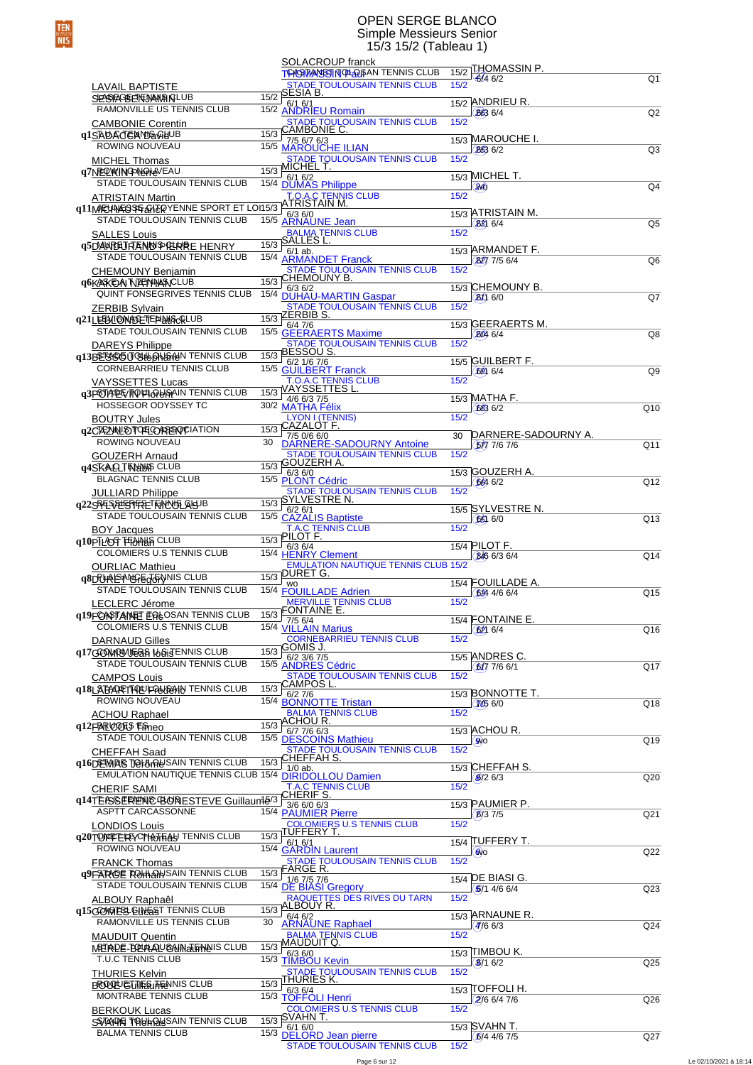### OPEN SERGE BLANCO Simple Messieurs Senior 15/3 15/2 (Tableau 1)

|                                                                            |      | SOLACROUP franck                                                               |      | 15/2 THOMASSIN P.                |                 |
|----------------------------------------------------------------------------|------|--------------------------------------------------------------------------------|------|----------------------------------|-----------------|
|                                                                            |      | <b>TCASTANSSIN OLOGISAN TENNIS CLUB</b><br><b>STADE TOULOUSAIN TENNIS CLUB</b> | 15/2 | $6/4$ 6/2                        | Q1              |
| <b>LAVAIL BAPTISTE</b><br><b>SEASTERED MANAGEUR</b>                        |      | $\frac{\overline{5}}{15/2}$ SESIA B.                                           |      |                                  |                 |
| RAMONVILLE US TENNIS CLUB                                                  |      | $\frac{1372}{15/2}$ 6/1 6/1<br>15/2 ANDRIEU Romain                             |      | 15/2 ANDRIEU R.<br>(8636/4)      | Q2              |
| <b>CAMBONIE Corentin</b>                                                   |      | STADE TOULOUSAIN TENNIS CLUB<br>CAMBONIE C.                                    | 15/2 |                                  |                 |
| q1SADACEAMB@GHUB                                                           | 15/3 | 7/5 6/7 6/3                                                                    |      | 15/3 MAROUCHE I.                 |                 |
| ROWING NOUVEAU                                                             |      | 15/5 MAROUCHE ILIAN                                                            |      | 6636/2                           | Q <sub>3</sub>  |
| <b>MICHEL Thomas</b><br>q7NEQWINGPNGAHOVEAU                                | 15/3 | STADE TOULOUSAIN TENNIS CLUB<br>MICHEL T.                                      | 15/2 |                                  |                 |
| STADE TOULOUSAIN TENNIS CLUB                                               |      | 15/3 6/1 6/2<br>15/4 DUMAS Philippe                                            |      | 15/3 MICHEL T.                   | Q <sub>4</sub>  |
|                                                                            |      |                                                                                | 15/2 | (24)                             |                 |
| TO A.C TENNIS CLUB<br>q11MECHARGSPEANERYENNE SPORT ET LOI15/3 ATRISTAIN M. |      |                                                                                |      | 15/3 ATRISTAIN M.                |                 |
|                                                                            |      | 15/5 ARNAUNE Jean                                                              |      | <b>BB</b> 6/4                    | Q <sub>5</sub>  |
| <b>SALLES Louis</b>                                                        |      | <b>BALMA TENNIS CLUB</b><br>$\frac{1}{15/3}$ SALLËS <sup>'</sup> L.            | 15/2 |                                  |                 |
| <b>q5DAWREURENDIDERRE HENRY</b><br>STADE TOULOUSAIN TENNIS CLUB            |      | $6/1$ ab.                                                                      |      | 15/3 ARMANDET F.                 |                 |
| <b>CHEMOUNY Benjamin</b>                                                   |      | 15/4 ARMANDET Franck<br><b>STADE TOULOUSAIN TENNIS CLUB</b>                    | 15/2 | (BD) 7/5 6/4                     | Q <sub>6</sub>  |
| <b>GOKARKEAN TUENHARACLUB</b>                                              |      | 15/3 CHEMOUNY B.<br>6/36/2                                                     |      | 15/3 CHEMOUNY B.                 |                 |
| QUINT FONSEGRIVES TENNIS CLUB                                              |      | 15/4 DUHAU-MARTIN Gaspar                                                       |      | $(Bh)$ 6/0                       | Q7              |
| <b>ZERBIB Sylvain</b>                                                      |      | <b>STADE TOULOUSAIN TENNIS CLUB</b><br>$\frac{15}{3}$ ZERBIBS.                 | 15/2 |                                  |                 |
| q21LEEBLI@NHOETEPHARGRLUB<br>STADE TOULOUSAIN TENNIS CLUB                  |      | 6/47/6                                                                         |      | 15/3 GEERAERTS M.                |                 |
| <b>DAREYS Philippe</b>                                                     |      | 15/5 GEERAERTS Maxime<br><b>STADE TOULOUSAIN TENNIS CLUB</b>                   | 15/2 | 6046/4                           | Q8              |
| q13BEGGGUQHONSHAN TENNIS CLUB                                              |      | $\frac{15}{3}$ BESSOUS.                                                        |      |                                  |                 |
| CORNEBARRIEU TENNIS CLUB                                                   |      | 6/2 1/6 7/6<br>15/5 GUILBERT Franck                                            |      | 15/5 GUILBERT F.<br>6006/4       | Q <sub>9</sub>  |
| <b>VAYSSETTES Lucas</b>                                                    |      | <b>T.O.A.C TENNIS CLUB</b>                                                     | 15/2 |                                  |                 |
| <b>q3POTAPET/TOPLOUSAIN TENNIS CLUB</b>                                    | 15/3 | VAYSSETTES L.<br>4/6 6/3 7/5                                                   |      | 15/3 MATHA F.                    |                 |
| HOSSEGOR ODYSSEY TC                                                        |      | 30/2 MATHA Félix<br>LYON I (TENNIS)                                            | 15/2 | 683 6/2                          | Q10             |
| <b>BOUTRY Jules</b><br><b>q2CTEZYALOTOELORREQUEIATION</b>                  | 15/3 | <u>CAZALOT F.</u>                                                              |      |                                  |                 |
| ROWING NOUVEAU                                                             | 30   | 7/5 0/6 6/0<br>DARNERE-SADOURNY Antoine                                        | 30   | DARNERE-SADOURNY A.<br>5777/67/6 | Q11             |
| <b>GOUZERH Arnaud</b>                                                      |      | STADE TOULOUSAIN TENNIS CLUB                                                   | 15/2 |                                  |                 |
| <b>q4SKAQTENUUS CLUB</b>                                                   | 15/3 | <b>GOUZERH A.</b>                                                              |      | 15/3 GOUZERH A.                  |                 |
| <b>BLAGNAC TENNIS CLUB</b>                                                 |      | 15/3 6/3 6/0<br>15/5 PLONT Cédric                                              |      | 6646/2                           | Q12             |
| <b>JULLIARD Philippe</b>                                                   |      | STADE TOULOUSAIN TENNIS CLUB<br>15/3 SYLVESTRE N.                              | 15/2 |                                  |                 |
| q22SBESQESTERETEINUUSLAGUB<br>STADE TOULOUSAIN TENNIS CLUB                 |      | $6/2$ 6/1<br>15/5 CAZALIS Baptiste                                             |      | 15/5 SYLVESTRE N.                |                 |
| <b>BOY Jacques</b>                                                         |      | <b>T.A.C TENNIS CLUB</b>                                                       | 15/2 | 65060                            | Q13             |
| q10PTLACCT FEAMAIN CLUB                                                    |      | $\frac{1}{15/3}$ PILOT F.<br>6/36/4                                            |      | 15/4 PILOT F.                    |                 |
| COLOMIERS U.S TENNIS CLUB                                                  |      | 15/4 HENRY Clement                                                             |      | 346 6/3 6/4                      | Q14             |
| <b>OURLIAC Mathieu</b>                                                     |      | <b>EMULATION NAUTIQUE TENNIS CLUB 15/2</b><br>$\frac{15}{3}$ DURET G.          |      |                                  |                 |
| q8DUREANGEGGENNIS CLUB<br>STADE TOULOUSAIN TENNIS CLUB                     |      | <b>WO</b><br>15/4 FÖUILLADE Adrien                                             |      | 15/4 FOUILLADE A.                | Q15             |
| LECLERC Jérome                                                             |      | MERVILLE TENNIS CLUB<br>FONTAINE E.                                            | 15/2 | 684 4/6 6/4                      |                 |
| <b>q19FONOTAINET EQLOSAN TENNIS CLUB</b>                                   | 15/3 |                                                                                |      | 15/4 FONTAINE E.                 |                 |
| COLOMIERS U.S TENNIS CLUB                                                  |      | 15/3 7/5 6/4<br>15/4 <u>VILLAIN Marius</u>                                     | 15/2 | 6206/4                           | Q16             |
| <b>DARNAUD Gilles</b><br>q17GOMASMERA ILSISENNIS CLUB                      | 15/3 | <b>CORNEBARRIEU TENNIS CLUB</b><br>GOMIS J.                                    |      |                                  |                 |
| STADE TOULOUSAIN TENNIS CLUB                                               |      | 15/5 6/2 3/6 7/5<br>15/5 ANDRES Cédric                                         |      | 15/5 ANDRES C.<br>(6/77/66/1)    | Q17             |
| <b>CAMPOS Louis</b>                                                        |      | STADE TOULOUSAIN TENNIS CLUB                                                   | 15/2 |                                  |                 |
| q18LABARETTAEUFRAGEHIN TENNIS CLUB                                         | 15/3 | CAMPOS L.<br>6/27/6                                                            |      | 15/3 BONNOTTE T.                 |                 |
| ROWING NOUVEAU                                                             |      | 15/4 <b>BONNOTTE Tristan</b>                                                   |      | (7056/0)                         | Q18             |
| <b>ACHOU Raphael</b><br>q12FAROGHS Fineo                                   | 15/3 | <b>BALMA TENNIS CLUB</b><br><u>ACHOU R.</u>                                    | 15/2 |                                  |                 |
| STADE TOULOUSAIN TENNIS CLUB                                               |      | $6/7$ 7/6 $6/3$<br>15/5 DESCOINS Mathieu                                       |      | 15/3 ACHOU R.                    | Q19             |
| <b>CHEFFAH Saad</b>                                                        |      | STADE TOULOUSAIN TENNIS CLUB<br>CHEFFAH S.                                     | 15/2 | (SWO                             |                 |
| <b>q16DETMAS TO HARDS AIN TENNIS CLUB</b>                                  | 15/3 | $1/0$ ab.                                                                      |      | 15/3 CHEFFAH S.                  |                 |
| EMULATION NAUTIQUE TENNIS CLUB 15/4 DIRIDOLLOU Damien                      |      |                                                                                |      | $(8/2)$ 6/3                      | Q20             |
| <b>CHERIF SAMI</b>                                                         |      | <b>T.A.C TENNIS CLUB</b><br><u>CHÊRIF S.</u>                                   | 15/2 |                                  |                 |
| q14TEASSERENE@BORESTEVE Guillaum <sup>16/3</sup><br>ASPTT CARCASSONNE      |      | $3/6$ 6/0 6/3<br>15/4 PAUMIER Pierre                                           |      | 15/3 PAUMIER P.                  |                 |
| <b>LONDIOS Louis</b>                                                       |      | <b>COLOMIERS U.S TENNIS CLUB</b>                                               | 15/2 | (B/37/5)                         | Q21             |
| q20TONFEREYCHARFAS TENNIS CLUB                                             |      | 15/3 TUFFERY T.<br>6/16/1                                                      |      | 15/4 TUFFERY T.                  |                 |
| ROWING NOUVEAU                                                             |      | 15/4 GARDIN Laurent                                                            |      | (6MO                             | Q22             |
| <b>FRANCK Thomas</b>                                                       |      | <b>STADE TOULOUSAIN TENNIS CLUB</b><br>15/3 <b>FARGE R.</b>                    | 15/2 |                                  |                 |
| 99FAROE ROHHAN SAIN TENNIS CLUB<br>STADE TOULOUSAIN TENNIS CLUB            |      | 1/6 7/5 7/6<br>15/4 DE BIASI Gregory                                           |      | 15/4 DE BIASI G.                 |                 |
| ALBOUY Raphaêl                                                             |      | RAQUETTES DES RIVES DU TARN                                                    | 15/2 | (6)14/66/4                       | Q <sub>23</sub> |
| <b>q15GOMPLES ELNEST TENNIS CLUB</b>                                       |      | $\frac{15}{3}$ ALBOUY R.<br>$6/4$ 6/2                                          |      | 15/3 ARNAUNE R.                  |                 |
| RAMONVILLE US TENNIS CLUB                                                  | 30   | <b>ARNAUNE Raphael</b>                                                         |      | (4)66/3                          | Q24             |
| <b>MAUDUIT Quentin</b>                                                     |      | <b>BALMA TENNIS CLUB</b><br>15/3 MAUDUIT Q                                     | 15/2 |                                  |                 |
| MERPE-BEALANG MATEMAIS CLUB<br>T.U.C TENNIS CLUB                           |      | 6/36/0                                                                         |      | 15/3 TIMBOU K.                   |                 |
| <b>THURIES Kelvin</b>                                                      |      | 15/3 TIMBOU Kevin<br><b>STADE TOULOUSAIN TENNIS CLUB</b>                       | 15/2 | (6)/16/2                         | Q <sub>25</sub> |
| <b>BROOK CUTTES THEN NIS CLUB</b>                                          |      | 15/3 THURIES K.                                                                |      | $15/3$ [TOFFOLI H.               |                 |
| MONTRABE TENNIS CLUB                                                       |      | 6/36/4<br>15/3 TÖFFOLI Henri                                                   |      | (2)66/47/6                       | Q26             |
| <b>BERKOUK Lucas</b>                                                       |      | <b>COLOMIERS U.S TENNIS CLUB</b>                                               | 15/2 |                                  |                 |
|                                                                            |      |                                                                                |      |                                  |                 |
| SSTANDE TOLUMARISAIN TENNIS CLUB<br><b>BALMA TENNIS CLUB</b>               |      | 15/3 SVAHN T.<br>6/16/0<br>15/3 DELORD Jean pierre                             |      | 15/3 SVAHN T.<br>$6/4$ 4/6 7/5   | Q27             |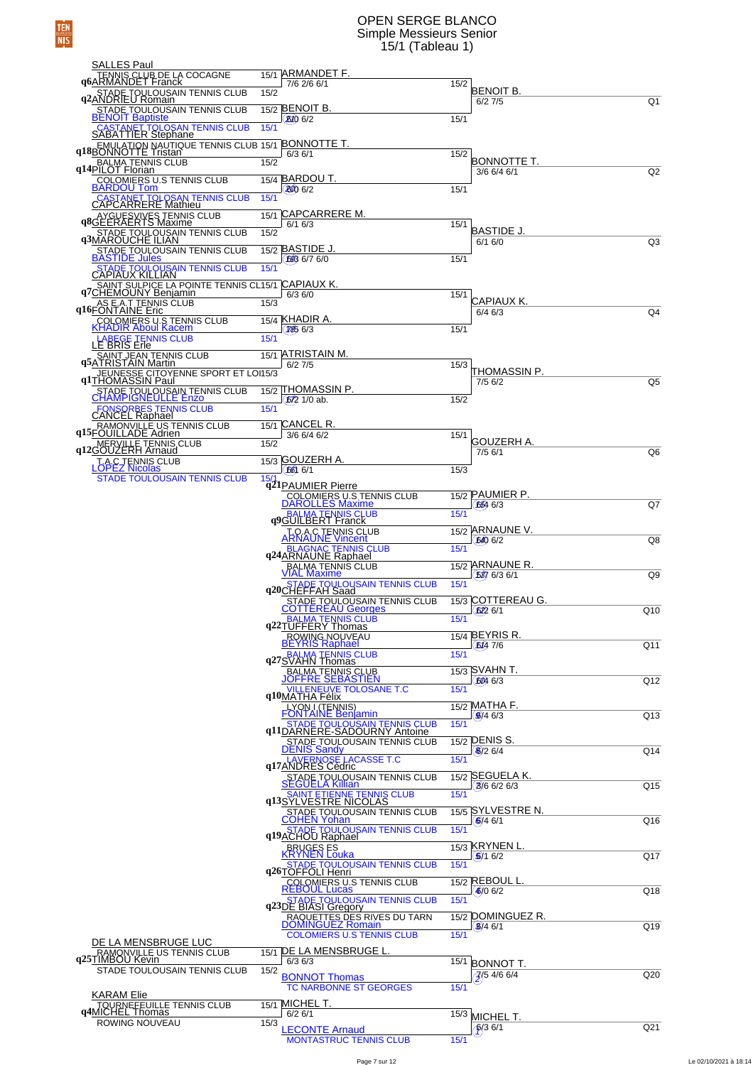### OPEN SERGE BLANCO Simple Messieurs Senior 15/1 (Tableau 1)

| SALLES Paul                                                                     |                                                     |                                             |                 |
|---------------------------------------------------------------------------------|-----------------------------------------------------|---------------------------------------------|-----------------|
| TENNIS CLUB DE LA COCAGNE<br>96ARMANDET Franck                                  | 15/1 ARMANDET F.<br>7/6 2/6 6/1                     | 15/2                                        |                 |
| <b>92 STADE TOULOUSAIN TENNIS CLUB</b><br><b>92 ANDRIEU Romain</b>              | 15/2                                                | BENOIT B.<br>6/27/5                         | Q <sub>1</sub>  |
| STADE TOULOUSAIN TENNIS CLUB<br><b>BENOIT Baptiste</b>                          | 15/2 BENOIT B.                                      |                                             |                 |
| <b>CASTANET TOLOSAN TENNIS CLUB<br/>SABATTIER Stephane</b>                      | <b>B<sub>10</sub></b> 6/2<br>15/1                   | 15/1                                        |                 |
| q18BONNOTTE Tristan 413BONNOTTE T.                                              |                                                     |                                             |                 |
|                                                                                 | 15/2                                                | 15/2<br>BONNOTTE T.                         |                 |
| BALMA TENNIS CLUB<br>q14PILOT Florian                                           |                                                     | 3/6 6/4 6/1                                 | Q2              |
| COLOMIERS U.S TENNIS CLUB<br><b>BARDOU Tom</b>                                  | 15/4 BARDOU T.<br><b>BO</b> 6/2                     | 15/1                                        |                 |
| <b>CASTANET TOLOSAN TENNIS CLUB</b><br><b>CAPCARRERE Mathieu</b>                | 15/1                                                |                                             |                 |
| AYGUESVIVES TENNIS CLUB<br>q8GEERAERTS Maxime                                   | 15/1 CAPCARRERE M.                                  | 15/1                                        |                 |
| 93MAROUCHE ILIAN<br>93MAROUCHE ILIAN                                            | 6/16/3<br>15/2                                      | <b>BASTIDE J.</b>                           |                 |
| <u>STADE TOULOUSAIN TENNIS CLUB</u>                                             | 15/2 BASTIDE J.                                     | 6/16/0                                      | Q <sub>3</sub>  |
| <b>BASTIDE Jules</b><br>STADE TOULOUSAIN TENNIS CLUB                            | 623 6/7 6/0<br>15/1                                 | 15/1                                        |                 |
| CAPIAUX KILLIAN                                                                 |                                                     |                                             |                 |
| SAINT SULPICE LA POINTE TENNIS CL15/1 CAPIAUX K.<br>q7CHEMOUNY Benjamin 6/3 6/0 |                                                     | 15/1                                        |                 |
| <b>AS E.A.T TENNIS CLUB</b><br><b>q16FONTAINE</b> Eric                          | 15/3                                                | CAPIAUX K.<br>$6/4$ 6/3                     | Q <sub>4</sub>  |
| COLOMIERS U.S TENNIS CLUB<br>KHADIR Aboul Kacem                                 | 15/4 KHADIR A.                                      |                                             |                 |
| LABEGE TENNIS CLUB<br>LE BRIS Erle                                              | 7266/3<br>15/1                                      | 15/1                                        |                 |
| SAINT JEAN TENNIS CLUB<br>95ATRISTAIN Martin                                    | 15/1 ATRISTAIN M.                                   |                                             |                 |
|                                                                                 | $6/2$ $7/5$                                         | 15/3<br>THOMASSIN P.                        |                 |
| JEUNESSE CITOYENNE SPORT ET LOI15/3                                             |                                                     | 7/5 6/2                                     | Q5              |
| STADE TOULOUSAIN TENNIS CLUB                                                    | 15/2 THOMASSIN P.<br>$672$ 1/0 ab.                  | 15/2                                        |                 |
| <b>FONSORBES TENNIS CLUB</b><br><b>CANCEL Raphael</b>                           | 15/1                                                |                                             |                 |
| RAMONVILLE US TENNIS CLUB<br>q15FOUILLADE Adrien                                | 15/1 CANCEL R.                                      |                                             |                 |
| q12GOUZERH Arnaud                                                               | 3/6 6/4 6/2<br>15/2                                 | 15/1<br>GOUZERH A.                          |                 |
|                                                                                 | 15/3 GOUZERH A.                                     | $7/5$ 6/1                                   | Q <sub>6</sub>  |
| <b>TAC TENNIS CLUB</b><br><b>STADE TOULOUSAIN TENNIS CLUB</b>                   | $66$ 6/1<br>15/                                     | 15/3                                        |                 |
|                                                                                 | q21PAUMIER Pierre                                   | 15/2 PAUMIER P.                             |                 |
|                                                                                 | COLOMIERS U.S. TENNIS CLUB<br>DAROLLES Maxime       | 654 6/3                                     | Q7              |
|                                                                                 | q9GUILBERT Franck                                   | 15/1                                        |                 |
|                                                                                 | <b>ARNAUNE Vincent</b>                              | 15/2 ARNAUNE V.                             |                 |
|                                                                                 | q24ARNAUNE Raphael                                  | 640 6/2<br>15/1                             | Q8              |
|                                                                                 |                                                     | 15/2 ARNAUNE R.                             |                 |
|                                                                                 | BALMA TENNIS CLUB                                   | 587 6/3 6/1<br>15/1                         | Q9              |
|                                                                                 | q20CHEFFAH Saad                                     |                                             |                 |
|                                                                                 | STADE TOULOUSAIN TENNIS CLUB                        | 15/3 COTTEREAU G.<br>6226/1                 | Q10             |
|                                                                                 | q22TUFFERY Thomas                                   | 15/1                                        |                 |
|                                                                                 | ROWING NOUVEAU                                      | 15/4 BEYRIS R.<br>6/4 7/6                   | Q11             |
|                                                                                 | q27SVAHN TENNIS CLUB                                | 15/1                                        |                 |
|                                                                                 | <b>BALMA-TENNIS CLUB</b>                            | 15/3 SVAHN T.                               |                 |
|                                                                                 |                                                     | 6046/3<br>15/1                              | Q12             |
|                                                                                 | q10MATHA Félix TOLOSANE T.C                         | 15/2 MATHA F.                               |                 |
|                                                                                 | <b>FONTAINE Benjamin</b>                            | $\left( \frac{6}{9} \right) 4 6/3$          | Q13             |
|                                                                                 | <b>q11DARNERE-SADOURNY Antoine</b>                  | 15/1                                        |                 |
|                                                                                 | STADE TOULOUSAIN TENNIS CLUB<br>DENIS Sandy         | 15/2 DENIS S.<br>$(8/2)$ 6/4                | Q14             |
|                                                                                 | q17ANDRES Cédric                                    | 15/1                                        |                 |
|                                                                                 | STADE TOULOUSAIN TENNIS CLUB<br>SEGUELA Killian     | 15/2 SEGUELA K.                             |                 |
|                                                                                 |                                                     | $3/6$ 6/2 6/3<br>15/1                       | Q15             |
|                                                                                 | q13SYLVE5TRENT JENNIS CLUB                          | 15/5 SYLVESTRE N.                           |                 |
|                                                                                 | STAPE TOULOUSAIN TENNIS CLUB                        | 6/46/1                                      | Q16             |
|                                                                                 | q19 ACHOU Raphael<br>q19 ACHOU Raphael              | 15/1                                        |                 |
|                                                                                 | <b>REVGES ES</b><br>KRYNEN Louka                    | 15/3 KRYNEN L.<br>(6/16/2)                  | Q17             |
|                                                                                 | STADE TOULOUSAIN TENNIS CLUB<br>q26TOFFOLI Henri    | 15/1                                        |                 |
|                                                                                 | <b>COLOMIERS U.S TENNIS CLUB</b>                    | 15/2 REBOUL L.                              |                 |
|                                                                                 | <b>REBOUL Lucas</b><br>STADE TOULOUSAIN TENNIS CLUB | (6)06/2<br>15/1                             | Q18             |
|                                                                                 | q23DE BIASI Gregory                                 | 15/2 DOMINGUEZ R.                           |                 |
|                                                                                 | RAQUETTES DES RIVES DU TARN<br>DOMINGUEZ Romain     | 8/46/1                                      | Q19             |
| DE LA MENSBRUGE LUC                                                             | <b>COLOMIERS U.S TENNIS CLUB</b>                    | 15/1                                        |                 |
| RAMONVILLE US TENNIS CLUB<br>q25TIMBOU Kevin                                    | 15/1 DE LA MENSBRUGE L<br>6/36/3                    | 15/1                                        |                 |
| STADE TOULOUSAIN TENNIS CLUB                                                    | 15/2<br><b>BONNOT Thomas</b>                        | <b>BONNOT T.</b><br>$\frac{7}{2}$ 5 4/6 6/4 | Q <sub>20</sub> |
|                                                                                 | <b>TC NARBONNE ST GEORGES</b>                       | 15/1                                        |                 |
| KARAM Elie<br>TOURNEFEUILLE TENNIS CLUB                                         | 15/1 MICHEL T.                                      |                                             |                 |
| q4MICHEL Thomas<br>ROWING NOUVEAU                                               | $6/2$ 6/1<br>15/3                                   | 15/3<br>MICHEL T.                           |                 |
|                                                                                 | <b>LECONTE Arnaud</b>                               | $6/3$ 6/1                                   | Q <sub>21</sub> |
|                                                                                 | <b>MONTASTRUC TENNIS CLUB</b>                       | 15/1                                        |                 |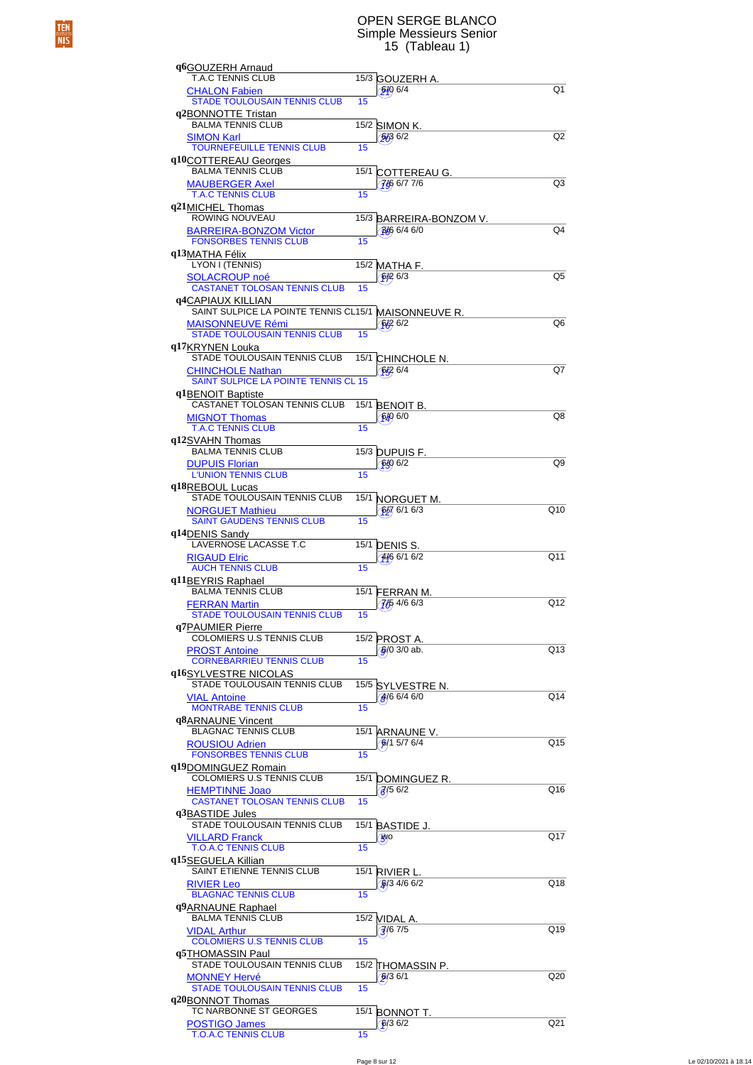# TEN<br>NIS

### OPEN SERGE BLANCO Simple Messieurs Senior 15 (Tableau 1)

| q6GOUZERH Arnaud                                               |      |                                        |                |
|----------------------------------------------------------------|------|----------------------------------------|----------------|
| <b>T.A.C TENNIS CLUB</b><br><b>CHALON Fabien</b>               |      | 15/3 GOUZERH A.<br>6/06/4              | Q1             |
| <b>STADE TOULOUSAIN TENNIS CLUB</b>                            | 15   |                                        |                |
| q2BONNOTTE Tristan<br><b>BALMA TENNIS CLUB</b>                 |      | 15/2 SIMON K.                          |                |
| <b>SIMON Karl</b>                                              |      | 5/36/2                                 | Q <sub>2</sub> |
| <b>TOURNEFEUILLE TENNIS CLUB</b><br>q10COTTEREAU Georges       | 15   |                                        |                |
| <b>BALMA TENNIS CLUB</b>                                       | 15/1 | <b>COTTEREAU G.</b>                    |                |
| <b>MAUBERGER Axel</b><br><b>T.A.C TENNIS CLUB</b>              | 15   | 766 6/7 7/6                            | Q <sub>3</sub> |
| q21MICHEL Thomas<br>ROWING NOUVEAU                             |      |                                        |                |
| <b>BARREIRA-BONZOM Victor</b>                                  |      | 15/3 BARREIRA-BONZOM V.<br>346 6/4 6/0 | Q4             |
| <b>FONSORBES TENNIS CLUB</b>                                   | 15   |                                        |                |
| q13MATHA Félix<br>LYON I (TENNIS)                              |      | 15/2 MATHA F.                          |                |
| <b>SOLACROUP noé</b><br><b>CASTANET TOLOSAN TENNIS CLUB</b>    | 15   | 6/26/3                                 | Q5             |
| <b>q4CAPIAUX KILLIAN</b>                                       |      |                                        |                |
| SAINT SULPICE LA POINTE TENNIS CL15/1 MAISONNEUVE R.           |      |                                        |                |
| <b>MAISONNEUVE Rémi</b><br><b>STADE TOULOUSAIN TENNIS CLUB</b> | 15   | 6/2                                    | Q6             |
| q17KRYNEN Louka                                                |      |                                        |                |
| STADE TOULOUSAIN TENNIS CLUB<br><b>CHINCHOLE Nathan</b>        |      | 15/1 CHINCHOLE N.<br>6496/4            | Q7             |
| SAINT SULPICE LA POINTE TENNIS CL 15                           |      |                                        |                |
| q1BENOIT Baptiste<br>CASTANET TOLOSAN TENNIS CLUB              | 15/1 | <b>BENOIT B.</b>                       |                |
| <b>MIGNOT Thomas</b>                                           |      | 6/0                                    | Q8             |
| <b>T.A.C TENNIS CLUB</b><br>q12SVAHN Thomas                    | 15   |                                        |                |
| <b>BALMA TENNIS CLUB</b>                                       |      | 15/3 DUPUIS F.                         |                |
| <b>DUPUIS Florian</b><br><b>L'UNION TENNIS CLUB</b>            | 15   | $6/8$ $6/2$                            | Q9             |
| q18REBOUL Lucas                                                |      |                                        |                |
| STADE TOULOUSAIN TENNIS CLUB<br><b>NORGUET Mathieu</b>         |      | 15/1 NORGUET M.<br>$6/7$ 6/1 6/3       | Q10            |
| <b>SAINT GAUDENS TENNIS CLUB</b>                               | 15   |                                        |                |
| q14DENIS Sandy<br>LAVERNOSE LACASSE T.C                        |      | 15/1 DENIS S.                          |                |
| <b>RIGAUD Elric</b>                                            |      | 446 6/1 6/2                            | Q11            |
| <b>AUCH TENNIS CLUB</b><br>q11BEYRIS Raphael                   | 15   |                                        |                |
| <b>BALMA TENNIS CLUB</b>                                       |      | 15/1 FERRAN M.                         |                |
| <b>FERRAN Martin</b><br><b>STADE TOULOUSAIN TENNIS CLUB</b>    | 15   | $\frac{7}{5}$ 4/6 6/3                  | Q12            |
| q7PAUMIER Pierre                                               |      |                                        |                |
| COLOMIERS U.S TENNIS CLUB<br><b>PROST Antoine</b>              |      | 15/2 PROST A.<br>$6/0$ 3/0 ab.         | Q13            |
| <b>CORNEBARRIEU TENNIS CLUB</b>                                | 15   |                                        |                |
| q16SYLVESTRE NICOLAS<br>STADE TOULOUSAIN TENNIS CLUB           |      | 15/5 SYLVESTRE N.                      |                |
| <b>VIAL Antoine</b>                                            |      | 466/46/0                               | Q14            |
| <b>MONTRABE TENNIS CLUB</b><br>q8ARNAUNE Vincent               | 15   |                                        |                |
| <b>BLAGNAC TENNIS CLUB</b>                                     |      | 15/1 ARNAUNE V.                        |                |
| <b>ROUSIOU Adrien</b><br><b>FONSORBES TENNIS CLUB</b>          | 15   | 6/15/76/4                              | Q15            |
| q19DOMINGUEZ Romain                                            |      |                                        |                |
| COLOMIERS U.S TENNIS CLUB<br><b>HEMPTINNE Joao</b>             |      | 15/1 DOMINGUEZ R.<br>$\sqrt{6}$ /5 6/2 | Q16            |
| <b>CASTANET TOLOSAN TENNIS CLUB</b>                            | 15   |                                        |                |
| q3BASTIDE Jules<br>STADE TOULOUSAIN TENNIS CLUB                |      | 15/1 BASTIDE J.                        |                |
| <b>VILLARD Franck</b>                                          |      | 90                                     | Q17            |
| <b>T.O.A.C TENNIS CLUB</b><br>q15SEGUELA Killian               | 15   |                                        |                |
| SAINT ETIENNE TENNIS CLUB                                      |      | 15/1 RIVIER L.                         |                |
| <b>RIVIER Leo</b><br><b>BLAGNAC TENNIS CLUB</b>                | 15   | $\frac{6}{3}$ 4/6 6/2                  | Q18            |
| q9ARNAUNE Raphael                                              |      |                                        |                |
| <b>BALMA TENNIS CLUB</b><br><b>VIDAL Arthur</b>                |      | 15/2 VIDAL A.<br>$\sqrt{67/5}$         | Q19            |
| <b>COLOMIERS U.S TENNIS CLUB</b>                               | 15   |                                        |                |
| q5THOMASSIN Paul<br>STADE TOULOUSAIN TENNIS CLUB               |      | 15/2 THOMASSIN P.                      |                |
| <b>MONNEY Hervé</b>                                            |      | $6/3$ 6/1                              | Q20            |
| <b>STADE TOULOUSAIN TENNIS CLUB</b><br>q20BONNOT Thomas        | 15   |                                        |                |
| TC NARBONNE ST GEORGES                                         |      | 15/1 BONNOT T.                         |                |
| <b>POSTIGO James</b><br><b>T.O.A.C TENNIS CLUB</b>             | 15   | $\sqrt{6}/36/2$                        | Q21            |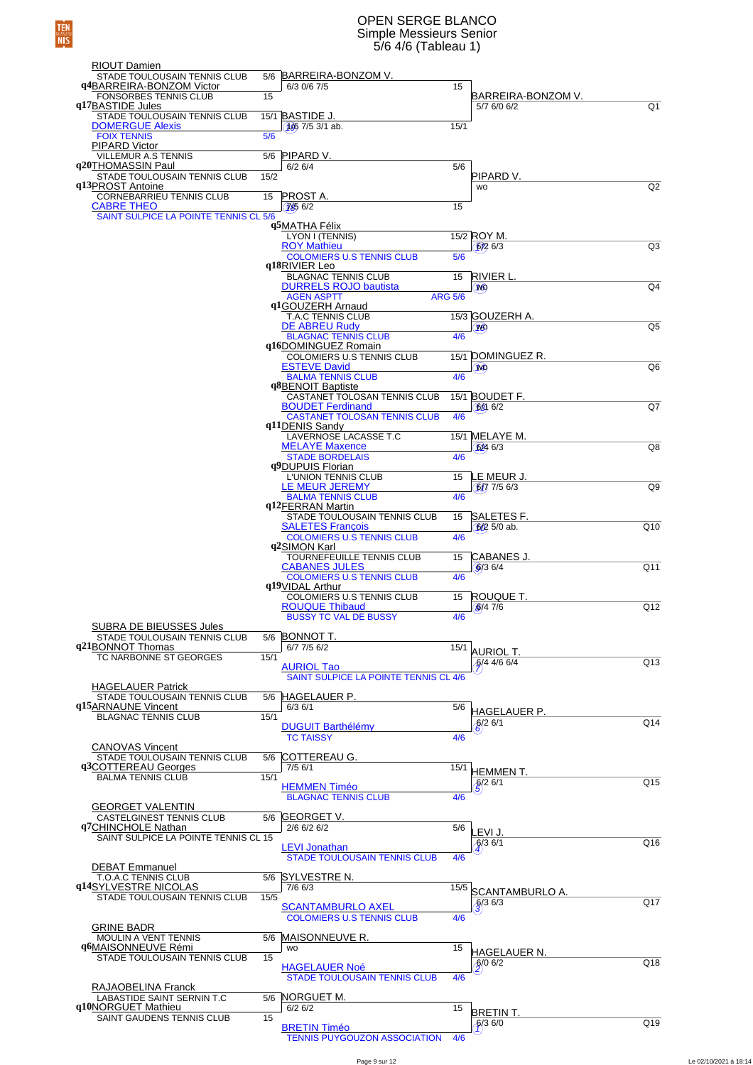### OPEN SERGE BLANCO Simple Messieurs Senior 5/6 4/6 (Tableau 1)

| <b>RIOUT Damien</b>                                        |      |                                                                |                |                                      |                 |
|------------------------------------------------------------|------|----------------------------------------------------------------|----------------|--------------------------------------|-----------------|
| STADE TOULOUSAIN TENNIS CLUB<br>q4BARREIRA-BONZOM Victor   |      | 5/6 BARREIRA-BONZOM V.<br>6/3 0/6 7/5                          | 15             |                                      |                 |
| <b>FONSORBES TENNIS CLUB</b>                               | 15   |                                                                |                | BARREIRA-BONZOM V.                   |                 |
| q17BASTIDE Jules<br>STADE TOULOUSAIN TENNIS CLUB           |      | 15/1 BASTIDE J.                                                |                | 5/7 6/0 6/2                          | Q <sub>1</sub>  |
| <b>DOMERGUE Alexis</b>                                     |      | $1667/53/1$ ab.                                                | 15/1           |                                      |                 |
| <b>FOIX TENNIS</b><br><b>PIPARD Victor</b>                 | 5/6  |                                                                |                |                                      |                 |
| <b>VILLEMUR A.S TENNIS</b>                                 |      | 5/6 PIPARD V.                                                  |                |                                      |                 |
| q20THOMASSIN Paul<br>STADE TOULOUSAIN TENNIS CLUB          | 15/2 | 6/26/4                                                         | 5/6            | PIPARD V.                            |                 |
| q13PROST Antoine<br>CORNEBARRIEU TENNIS CLUB               | 15   | <b>PROST A.</b>                                                |                | <b>WO</b>                            | Q2              |
| <b>CABRE THEO</b>                                          |      | (7656/2)                                                       | 15             |                                      |                 |
| SAINT SULPICE LA POINTE TENNIS CL 5/6                      |      | q5MATHA Félix                                                  |                |                                      |                 |
|                                                            |      | LYON I (TENNIS)                                                |                | 15/2 ROY M.                          |                 |
|                                                            |      | <b>ROY Mathieu</b><br><b>COLOMIERS U.S TENNIS CLUB</b>         | 5/6            | 6/26/3                               | Q <sub>3</sub>  |
|                                                            |      | q18RIVIER Leo                                                  |                |                                      |                 |
|                                                            |      | <b>BLAGNAC TENNIS CLUB</b><br><b>DURRELS ROJO bautista</b>     | 15             | RIVIER L.<br>w                       | Q <sub>4</sub>  |
|                                                            |      | <b>AGEN ASPTT</b><br>q1GOUZERH Arnaud                          | <b>ARG 5/6</b> |                                      |                 |
|                                                            |      | <b>T.A.C TENNIS CLUB</b>                                       |                | 15/3 GOUZERH A.                      |                 |
|                                                            |      | <b>DE ABREU Rudy</b><br><b>BLAGNAC TENNIS CLUB</b>             | 4/6            | W <sub>3</sub>                       | Q5              |
|                                                            |      | q16DOMINGUEZ Romain                                            |                |                                      |                 |
|                                                            |      | <b>COLOMIERS U.S TENNIS CLUB</b><br><b>ESTEVE David</b>        |                | 15/1 DOMINGUEZ R.<br>W <sub>1</sub>  | Q6              |
|                                                            |      | <b>BALMA TENNIS CLUB</b><br>q8BENOIT Baptiste                  | 4/6            |                                      |                 |
|                                                            |      | CASTANET TOLOSAN TENNIS CLUB                                   |                | 15/1 BOUDET F.                       |                 |
|                                                            |      | <b>BOUDET Ferdinand</b><br><b>CASTANET TOLOSAN TENNIS CLUB</b> | 4/6            | $68$ 6/2                             | Q7              |
|                                                            |      | q11DENIS Sandy                                                 |                |                                      |                 |
|                                                            |      | LAVERNOSE LACASSE T.C<br><b>MELAYE Maxence</b>                 |                | 15/1 MELAYE M.<br>6246/3             | Q8              |
|                                                            |      | <b>STADE BORDELAIS</b>                                         | 4/6            |                                      |                 |
|                                                            |      | q9DUPUIS Florian<br>L'UNION TENNIS CLUB                        | 15             | LE MEUR J.                           |                 |
|                                                            |      | LE MEUR JEREMY<br><b>BALMA TENNIS CLUB</b>                     | 4/6            | $6/7$ 7/5 6/3                        | Q9              |
|                                                            |      | q12FERRAN Martin                                               |                |                                      |                 |
|                                                            |      | STADE TOULOUSAIN TENNIS CLUB<br><b>SALETES François</b>        | 15             | SALETES F.<br>$6/2$ 5/0 ab.          | Q10             |
|                                                            |      | <b>COLOMIERS U.S TENNIS CLUB</b>                               | 4/6            |                                      |                 |
|                                                            |      | q2SIMON Karl<br>TOURNEFEUILLE TENNIS CLUB                      | 15             | CABANES J.                           |                 |
|                                                            |      | <b>CABANES JULES</b><br><b>COLOMIERS U.S TENNIS CLUB</b>       | 4/6            | 9/36/4                               | Q <sub>11</sub> |
|                                                            |      | q19VIDAL Arthur                                                |                |                                      |                 |
|                                                            |      | <b>COLOMIERS U.S TENNIS CLUB</b><br><b>ROUQUE Thibaud</b>      | 15             | ROUQUE T.<br>\$/47/6                 | Q12             |
|                                                            |      | <b>BUSSY TC VAL DE BUSSY</b>                                   | 4/6            |                                      |                 |
| SUBRA DE BIEUSSES Jules<br>STADE TOULOUSAIN TENNIS CLUB    |      | 5/6 BONNOT T.                                                  |                |                                      |                 |
| q21BONNOT Thomas<br>TC NARBONNE ST GEORGES                 |      | $6/7$ 7/5 $6/2$                                                | 15/1           | <b>AURIOL T.</b>                     |                 |
|                                                            | 15/1 | <b>AURIOL Tao</b>                                              |                | $6/4$ 4/6 6/4                        | Q13             |
| <b>HAGELAUER Patrick</b>                                   |      | SAINT SULPICE LA POINTE TENNIS CL 4/6                          |                |                                      |                 |
| STADE TOULOUSAIN TENNIS CLUB                               |      | 5/6 HAGELAUER P.                                               |                |                                      |                 |
| q15ARNAUNE Vincent<br><b>BLAGNAC TENNIS CLUB</b>           | 15/1 | $6/3$ $6/1$                                                    | 5/6            | <b>HAGELAUER P.</b>                  |                 |
|                                                            |      | <b>DUGUIT Barthélémy</b><br><b>TC TAISSY</b>                   | 4/6            | 6/26/1                               | Q14             |
| <b>CANOVAS Vincent</b>                                     |      |                                                                |                |                                      |                 |
| STADE TOULOUSAIN TENNIS CLUB<br>q3COTTEREAU Georges        | 5/6  | COTTEREAU G.<br>$7/5$ 6/1                                      | 15/1           |                                      |                 |
| <b>BALMA TENNIS CLUB</b>                                   | 15/1 |                                                                |                | <b>HEMMENT.</b><br>$\frac{6}{2}$ 6/1 | Q15             |
|                                                            |      | <b>HEMMEN Timéo</b><br><b>BLAGNAC TENNIS CLUB</b>              | 4/6            |                                      |                 |
| <b>GEORGET VALENTIN</b><br><b>CASTELGINEST TENNIS CLUB</b> |      | 5/6 <b>GEORGET V.</b>                                          |                |                                      |                 |
| q7CHINCHOLE Nathan                                         |      | 2/6 6/2 6/2                                                    | 5/6            | LEVI J.                              |                 |
| SAINT SULPICE LA POINTE TENNIS CL 15                       |      | <b>LEVI Jonathan</b>                                           |                | $\sqrt{3}6/1$                        | Q16             |
|                                                            |      | <b>STADE TOULOUSAIN TENNIS CLUB</b>                            | 4/6            |                                      |                 |
| <b>DEBAT Emmanuel</b><br>T.O.A.C TENNIS CLUB               |      | 5/6 SYLVESTRE N.                                               |                |                                      |                 |
| q14SYLVESTRE NICOLAS                                       |      | 7/6 6/3                                                        | 15/5           | SCANTAMBURLO A.                      |                 |
| STADE TOULOUSAIN TENNIS CLUB                               | 15/5 | <b>SCANTAMBURLO AXEL</b>                                       |                | $\frac{6}{3}$ 8/3                    | Q17             |
| <b>GRINE BADR</b>                                          |      | <b>COLOMIERS U.S TENNIS CLUB</b>                               | 4/6            |                                      |                 |
| MOULIN A VENT TENNIS                                       | 5/6  | <b>MAISONNEUVE R.</b>                                          |                |                                      |                 |
| q6MAISONNEUVE Rémi<br>STADE TOULOUSAIN TENNIS CLUB         | 15   | <b>WO</b>                                                      | 15             | HAGELAUER N.                         |                 |
|                                                            |      | <b>HAGELAUER Noé</b>                                           |                | $6/0$ 6/2                            | Q18             |
| RAJAOBELINA Franck                                         |      | <b>STADE TOULOUSAIN TENNIS CLUB</b>                            | 4/6            |                                      |                 |
| LABASTIDE SAINT SERNIN T.C<br>q10NORGUET Mathieu           |      | 5/6 NORGUET M.<br>6/26/2                                       | 15             |                                      |                 |
| SAINT GAUDENS TENNIS CLUB                                  | 15   |                                                                |                | BRETIN T.                            | Q19             |
|                                                            |      | <b>BRETIN Timéo</b><br><b>TENNIS PUYGOUZON ASSOCIATION</b>     | 4/6            | 6/36/0                               |                 |
|                                                            |      |                                                                |                |                                      |                 |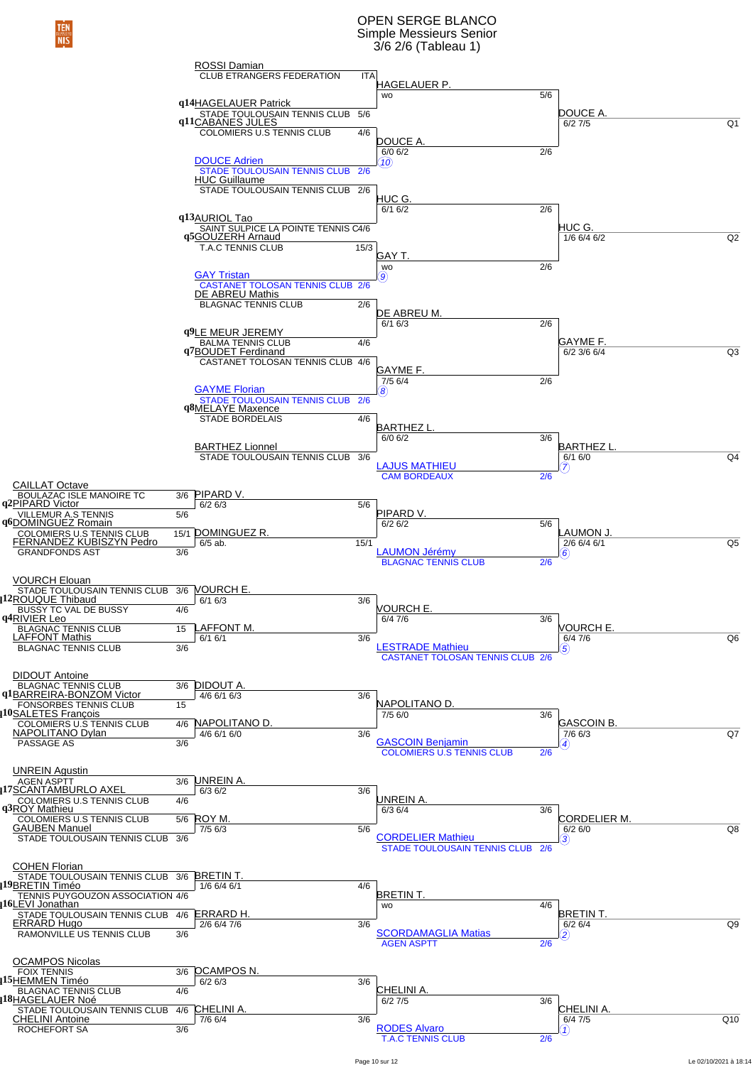### OPEN SERGE BLANCO Simple Messieurs Senior 3/6 2/6 (Tableau 1)

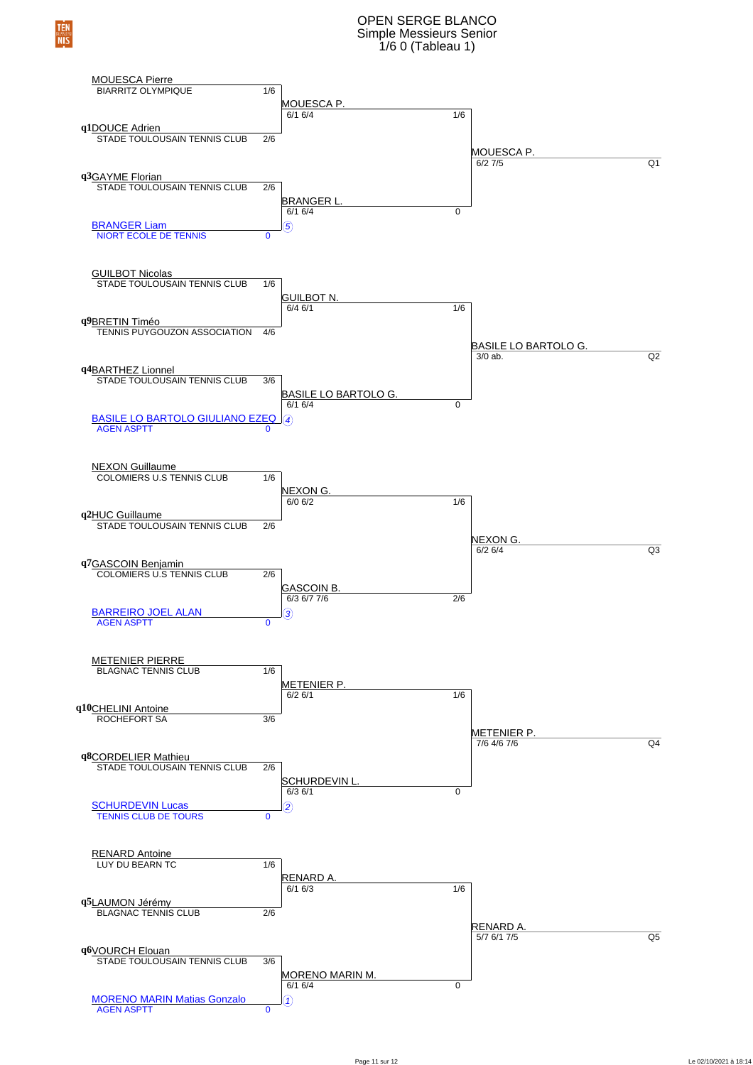## OPEN SERGE BLANCO Simple Messieurs Senior 1/6 0 (Tableau 1)